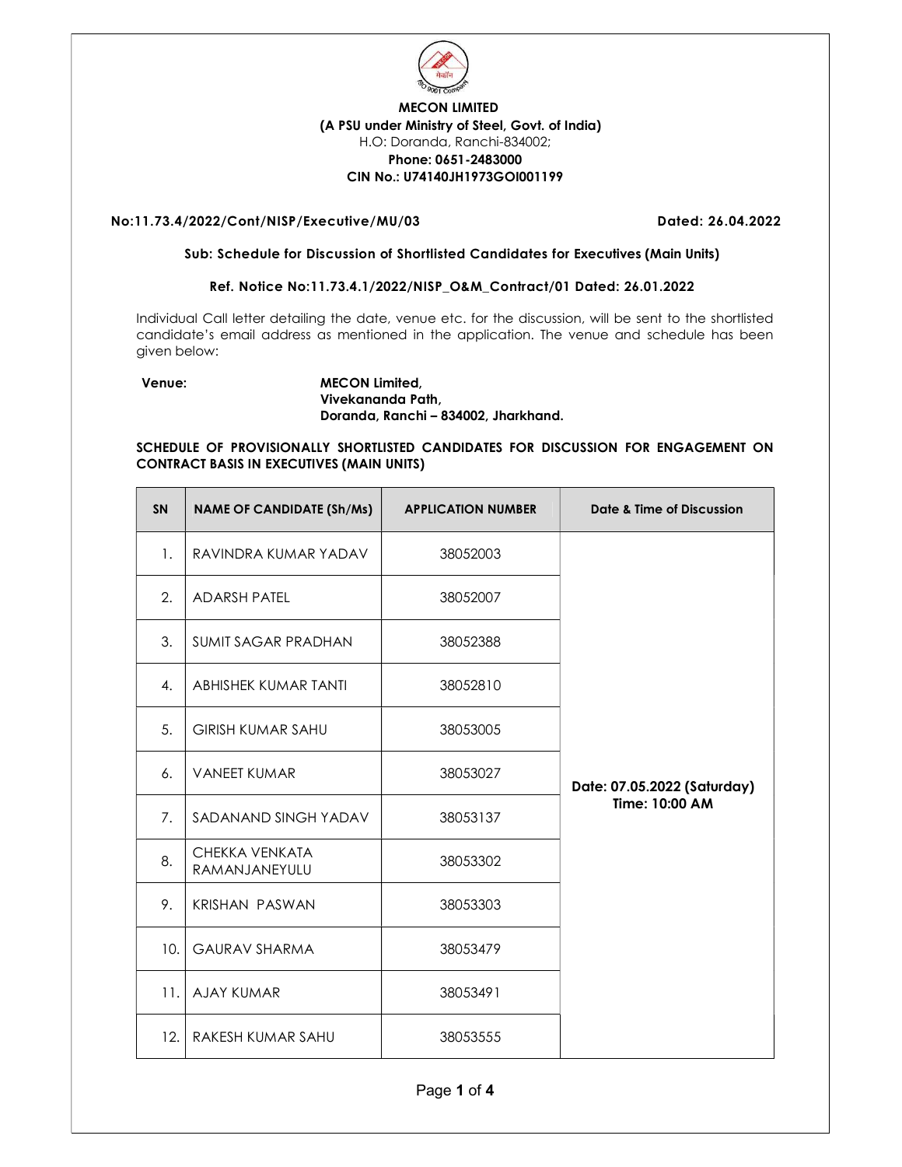

# MECON LIMITED (A PSU under Ministry of Steel, Govt. of India) H.O: Doranda, Ranchi-834002; Phone: 0651-2483000 CIN No.: U74140JH1973GOI001199

## No:11.73.4/2022/Cont/NISP/Executive/MU/03 Dated: 26.04.2022

#### Sub: Schedule for Discussion of Shortlisted Candidates for Executives (Main Units)

## Ref. Notice No:11.73.4.1/2022/NISP\_O&M\_Contract/01 Dated: 26.01.2022

Individual Call letter detailing the date, venue etc. for the discussion, will be sent to the shortlisted candidate's email address as mentioned in the application. The venue and schedule has been given below:

### Venue: MECON Limited, Vivekananda Path, Doranda, Ranchi – 834002, Jharkhand.

### SCHEDULE OF PROVISIONALLY SHORTLISTED CANDIDATES FOR DISCUSSION FOR ENGAGEMENT ON CONTRACT BASIS IN EXECUTIVES (MAIN UNITS)

| <b>SN</b> | <b>NAME OF CANDIDATE (Sh/Ms)</b> | <b>APPLICATION NUMBER</b> | Date & Time of Discussion   |
|-----------|----------------------------------|---------------------------|-----------------------------|
| 1.        | RAVINDRA KUMAR YADAV             | 38052003                  |                             |
| 2.        | <b>ADARSH PATEL</b>              | 38052007                  |                             |
| 3.        | <b>SUMIT SAGAR PRADHAN</b>       | 38052388                  |                             |
| 4.        | ABHISHEK KUMAR TANTI             | 38052810                  |                             |
| 5.        | <b>GIRISH KUMAR SAHU</b>         | 38053005                  |                             |
| 6.        | <b>VANEET KUMAR</b>              | 38053027                  | Date: 07.05.2022 (Saturday) |
| 7.        | SADANAND SINGH YADAV             | 38053137                  | Time: 10:00 AM              |
| 8.        | CHEKKA VENKATA<br>RAMANJANEYULU  | 38053302                  |                             |
| 9.        | <b>KRISHAN PASWAN</b>            | 38053303                  |                             |
| 10.       | <b>GAURAV SHARMA</b>             | 38053479                  |                             |
| 11.       | <b>AJAY KUMAR</b>                | 38053491                  |                             |
| 12.       | RAKESH KUMAR SAHU                | 38053555                  |                             |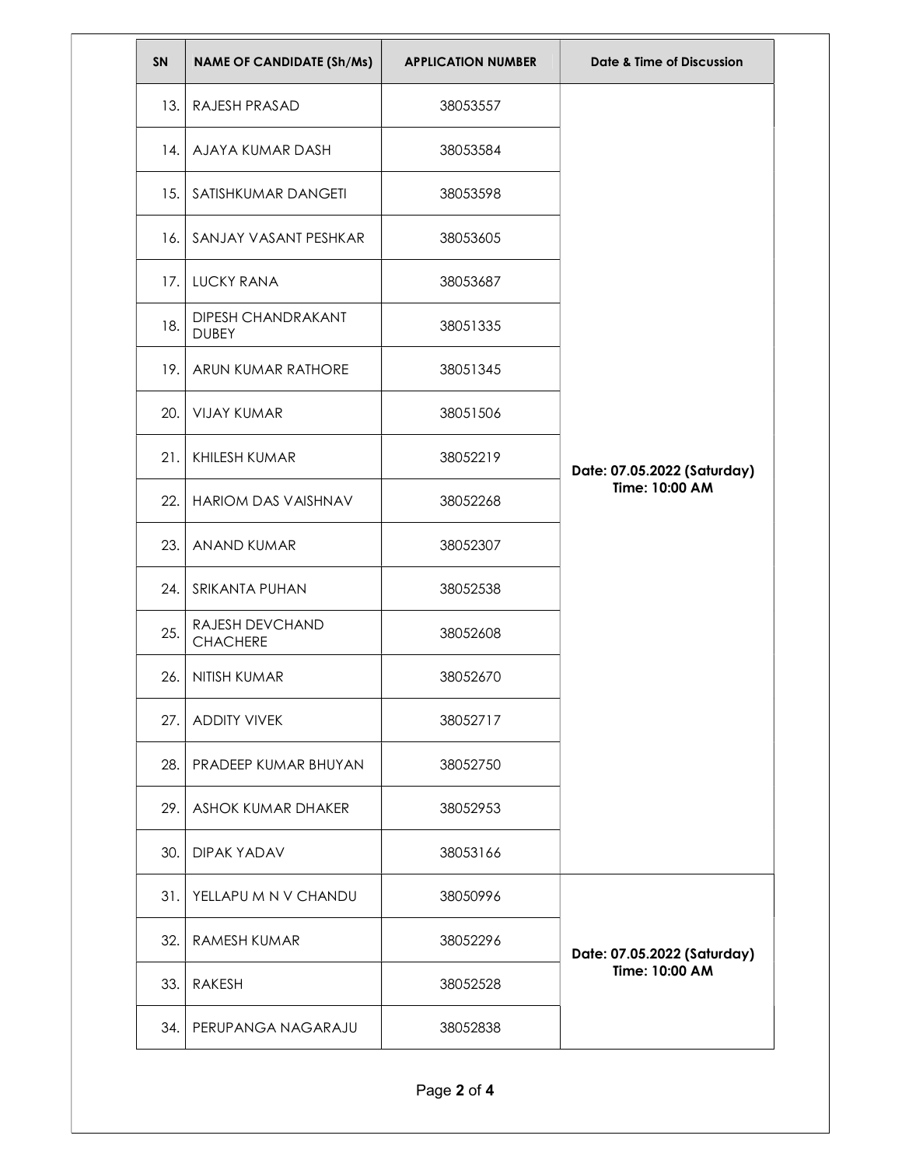| SN   | <b>NAME OF CANDIDATE (Sh/Ms)</b>          | <b>APPLICATION NUMBER</b> | Date & Time of Discussion                     |
|------|-------------------------------------------|---------------------------|-----------------------------------------------|
| 13.  | RAJESH PRASAD                             | 38053557                  | Date: 07.05.2022 (Saturday)<br>Time: 10:00 AM |
|      | 14. AJAYA KUMAR DASH                      | 38053584                  |                                               |
| 15.  | SATISHKUMAR DANGETI                       | 38053598                  |                                               |
| 16.1 | SANJAY VASANT PESHKAR                     | 38053605                  |                                               |
| 17.1 | <b>LUCKY RANA</b>                         | 38053687                  |                                               |
| 18.  | <b>DIPESH CHANDRAKANT</b><br><b>DUBEY</b> | 38051335                  |                                               |
| 19.  | ARUN KUMAR RATHORE                        | 38051345                  |                                               |
| 20.  | <b>VIJAY KUMAR</b>                        | 38051506                  |                                               |
| 21.  | KHILESH KUMAR                             | 38052219                  |                                               |
| 22.  | <b>HARIOM DAS VAISHNAV</b>                | 38052268                  |                                               |
| 23.  | ANAND KUMAR                               | 38052307                  |                                               |
| 24.  | SRIKANTA PUHAN                            | 38052538                  |                                               |
| 25.  | RAJESH DEVCHAND<br><b>CHACHERE</b>        | 38052608                  |                                               |
| 26.  | NITISH KUMAR                              | 38052670                  |                                               |
| 27.  | <b>ADDITY VIVEK</b>                       | 38052717                  |                                               |
|      | 28. PRADEEP KUMAR BHUYAN                  | 38052750                  |                                               |
|      | 29. ASHOK KUMAR DHAKER                    | 38052953                  |                                               |
|      | 30. DIPAK YADAV                           | 38053166                  |                                               |
| 31.1 | YELLAPU M N V CHANDU                      | 38050996                  | Date: 07.05.2022 (Saturday)<br>Time: 10:00 AM |
|      | 32. RAMESH KUMAR                          | 38052296                  |                                               |
| 33.1 | RAKESH                                    | 38052528                  |                                               |
|      | 34. PERUPANGA NAGARAJU                    | 38052838                  |                                               |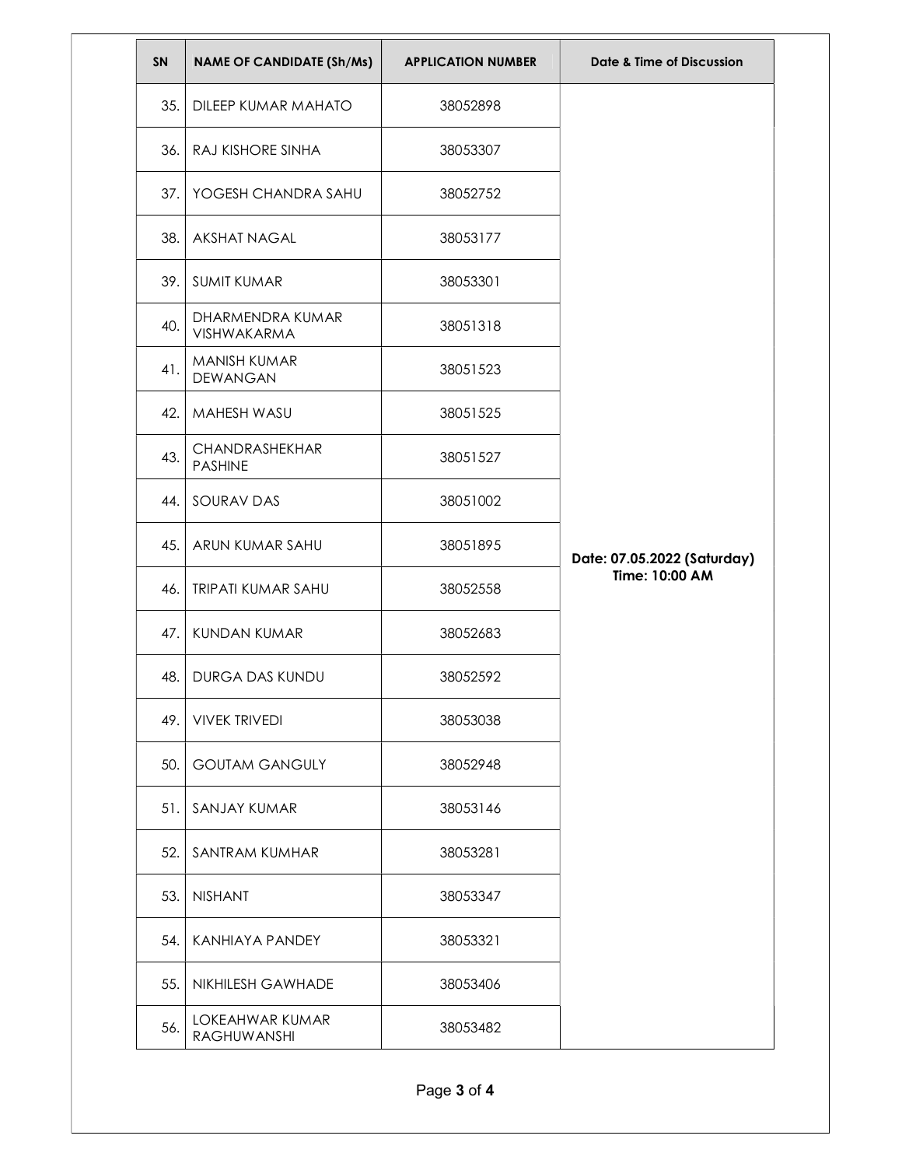| SN  | <b>NAME OF CANDIDATE (Sh/Ms)</b> | <b>APPLICATION NUMBER</b> | Date & Time of Discussion                     |
|-----|----------------------------------|---------------------------|-----------------------------------------------|
| 35. | DILEEP KUMAR MAHATO              | 38052898                  |                                               |
|     | 36. RAJ KISHORE SINHA            | 38053307                  |                                               |
| 37. | YOGESH CHANDRA SAHU              | 38052752                  |                                               |
| 38. | <b>AKSHAT NAGAL</b>              | 38053177                  |                                               |
| 39. | <b>SUMIT KUMAR</b>               | 38053301                  |                                               |
| 40. | DHARMENDRA KUMAR<br>VISHWAKARMA  | 38051318                  |                                               |
| 41. | MANISH KUMAR<br><b>DEWANGAN</b>  | 38051523                  |                                               |
| 42. | MAHESH WASU                      | 38051525                  | Date: 07.05.2022 (Saturday)<br>Time: 10:00 AM |
| 43. | CHANDRASHEKHAR<br><b>PASHINE</b> | 38051527                  |                                               |
| 44. | SOURAV DAS                       | 38051002                  |                                               |
| 45. | ARUN KUMAR SAHU                  | 38051895                  |                                               |
| 46. | <b>TRIPATI KUMAR SAHU</b>        | 38052558                  |                                               |
| 47. | <b>KUNDAN KUMAR</b>              | 38052683                  |                                               |
| 48. | <b>DURGA DAS KUNDU</b>           | 38052592                  |                                               |
| 49. | <b>VIVEK TRIVEDI</b>             | 38053038                  |                                               |
| 50. | <b>GOUTAM GANGULY</b>            | 38052948                  |                                               |
| 51. | SANJAY KUMAR                     | 38053146                  |                                               |
| 52. | SANTRAM KUMHAR                   | 38053281                  |                                               |
| 53. | <b>NISHANT</b>                   | 38053347                  |                                               |
|     | 54.   KANHIAYA PANDEY            | 38053321                  |                                               |
| 55. | <b>NIKHILESH GAWHADE</b>         | 38053406                  |                                               |
| 56. | LOKEAHWAR KUMAR<br>RAGHUWANSHI   | 38053482                  |                                               |